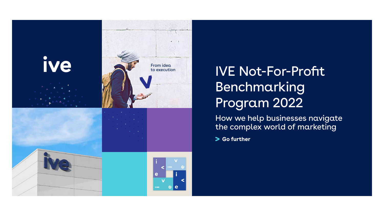

### IVE Not-For-Profit Benchmarking Program 2022

How we help businesses navigate the complex world of marketing

**So further** 

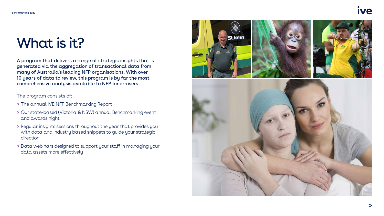## What is it?

A program that delivers a range of strategic insights that is generated via the aggregation of transactional data from many of Australia's leading NFP organisations. With over 10 years of data to review, this program is by far the most comprehensive analysis available to NFP fundraisers

The program consists of:

- **>** The annual IVE NFP Benchmarking Report
- **>** Our state-based (Victoria & NSW) annual Benchmarking event and awards night
- **>** Regular insights sessions throughout the year that provides you with data and industry based snippets to guide your strategic direction
- **>** Data webinars designed to support your staff in managing your data assets more effectively





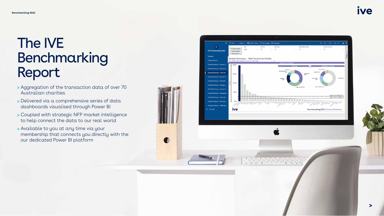## The IVE Benchmarking Report

- Aggregation of the transaction data of over 70 Australian charities
- Delivered via a comprehensive series of data dashboards visualised through Power BI
- Coupled with strategic NFP market intelligence to help connect the data to our real world
- Available to you at any time via your membership that connects you directly with the our dedicated Power BI platform





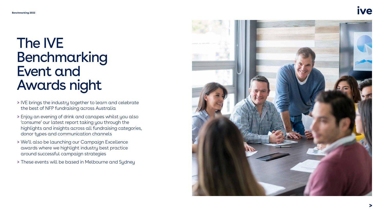### The IVE Benchmarking Event and Awards night

- **>** IVE brings the industry together to learn and celebrate the best of NFP fundraising across Australia
- **>** Enjoy an evening of drink and canapes whilst you also 'consume' our latest report taking you through the highlights and insights across all fundraising categories, donor types and communication channels
- **>** We'll also be launching our Campaign Excellence awards where we highlight industry best practice around successful campaign strategies
- **>** These events will be based in Melbourne and Sydney





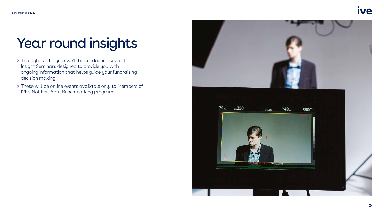# Year round insights

- **>** Throughout the year we'll be conducting several Insight Seminars designed to provide you with ongoing information that helps guide your fundraising decision making
- **>** These will be online events available only to Members of IVE's Not-For-Profit Benchmarking program







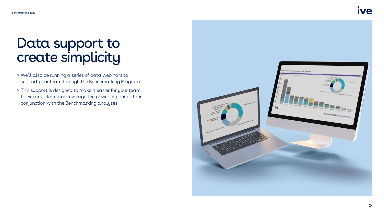### Data support to create simplicity

- **>** We'll also be running a series of data webinars to support your team through the Benchmarking Program
- **>** This support is designed to make it easier for your team to extract, clean and leverage the power of your data in conjunction with the Benchmarking analyses







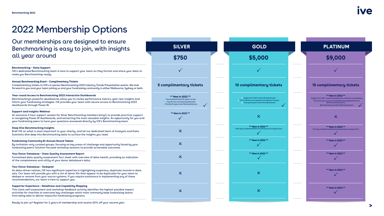### 2022 Membership Options

Our memberships are designed to ensure Benchmarking is easy to join, with insights all year around

### **Benchmarking – Data Support**

IVE's dedicated Benchmarking team is here to support your team as they format and share your data to make you Benchmarking-ready.

### **Annual Benchmarking Event – Complimentary Tickets**

Complimentary tickets to IVE's in-person Benchmarking 2022 Industry Trends Presentation events. We look forward to you and your team joining us and your fundraising community in either Melbourne, Sydney or both.

### **Year-round Access to Benchmarking 2022 Interactive Dashboards**

Benchmarking's powerful dashboards allow you to review performance metrics, gain new insights and inform your fundraising strategies. IVE provides your team with secure access to Benchmarking 2022 dashboards through Power BI.

### **Support and Insights Webinar**

An exclusive 2-hour support session for Silver Benchmarking members (only!), to provide practical support in navigating Power BI dashboards, and extracting the most valuable insights. An opportunity for you and your fundraising peers to have your questions answered directly by IVE's Benchmarking team.

### **Deep Dive Benchmarking Insights**

Brief IVE on what is most important to your charity, and let our dedicated team of Analysts and Data Scientists dive deep into Benchmarking data to surface the insights you need.

### **Fundraising Community Bi-Annual Round Tables**

By-invitation-only curated groups, focusing on key areas of challenge and opportunity faced by your fundraising peers! Solution-focused workshop sessions to provide actionable outcomes.

### **Your Donor Database – Data Quality Assessment Report**

Formalised data quality assessment fact sheet with overview of data health, providing an indication of the completeness and utility of your donor database's data.

### **Your Donor Database – Deduped**

As data-driven natives, IVE has significant expertise in highlighting suspicious, duplicate records in data sets. Our team will provide you with a list of donor IDs that appear to be duplicates for your team to dedupe or remove from your source systems. If you require assistance in implementing any of these recommendations, our team is here to support you.

### **Supporter Experience – Readiness and Capability Mapping**

This client self-assessment and workshop feedback activity identifies the highest possible impact activities for charities to overcome key challenges which most commonly keep fundraising teams from being able to deliver impactful fundraising programs.

### Ready to join us? Register for 2 years of membership and receive 20% off your second year.